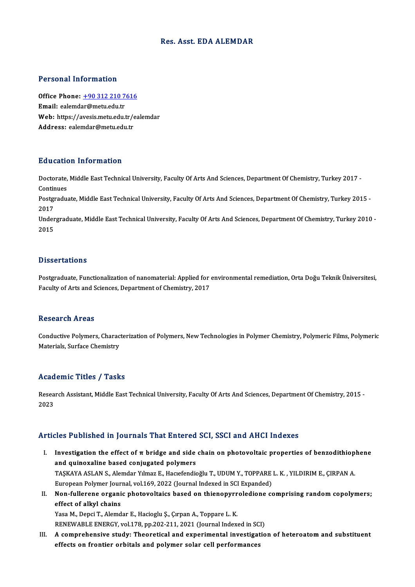## Res. Asst. EDA ALEMDAR

## Personal Information

Personal Information<br>Office Phone: <u>+90 312 210 7616</u><br>Email: ealandar@matu.cdu.tr Fersonar miermacion<br>Office Phone: <u>+90 312 210 7</u><br>Email: ealemd[ar@metu.edu.tr](tel:+90 312 210 7616) Office Phone: <u>+90 312 210 7616</u><br>Email: ealemdar@metu.edu.tr<br>Web: https://avesis.metu.edu.tr/ealemdar<br>Addressy ealemdar@metu.edu.tr Email: ealemdar@metu.edu.tr<br>Web: https://avesis.metu.edu.tr/e<br>Address: ealemdar@metu.edu.tr

## Education Information

**Education Information**<br>Doctorate, Middle East Technical University, Faculty Of Arts And Sciences, Department Of Chemistry, Turkey 2017 -<br>Continues Doctorate,<br>Continues<br>Postaredu Doctorate, Middle East Technical University, Faculty Of Arts And Sciences, Department Of Chemistry, Turkey 2017 -<br>Continues<br>Postgraduate, Middle East Technical University, Faculty Of Arts And Sciences, Department Of Chemis

Continues<br>Postgraduate, Middle East Technical University, Faculty Of Arts And Sciences, Department Of Chemistry, Turkey 2015 -<br>2017 Postgraduate, Middle East Technical University, Faculty Of Arts And Sciences, Department Of Chemistry, Turkey 2015 -<br>2017<br>Undergraduate, Middle East Technical University, Faculty Of Arts And Sciences, Department Of Chemist

2017<br>Under<br>2015

## Dissertations

Dissertations<br>Postgraduate, Functionalization of nanomaterial: Applied for environmental remediation, Orta Doğu Teknik Üniversitesi,<br>Fegulty of Arts and Sciences, Denertment of Chemistry, 2017 Bassea cacroms<br>Postgraduate, Functionalization of nanomaterial: Applied for<br>Faculty of Arts and Sciences, Department of Chemistry, 2017 Faculty of Arts and Sciences, Department of Chemistry, 2017<br>Research Areas

Conductive Polymers, Characterization of Polymers, New Technologies in Polymer Chemistry, Polymeric Films, Polymeric Materials, Surface Chemistry

### Academic Titles / Tasks

A**cademic Titles / Tasks**<br>Research Assistant, Middle East Technical University, Faculty Of Arts And Sciences, Department Of Chemistry, 2015 -<br>2022 neud<br>Resea<br>2023

## Articles Published in Journals That Entered SCI, SSCI and AHCI Indexes

- rticles Published in Journals That Entered SCI, SSCI and AHCI Indexes<br>I. Investigation the effect of π bridge and side chain on photovoltaic properties of benzodithiophene<br>and autocycline based conjugated polymers Investigation the effect of  $\pi$  bridge and side<br>and quinoxaline based conjugated polymers<br> $TASYAYA ASI AN S. Alomder Ylmer E. Hoscfondi$ Investigation the effect of π bridge and side chain on photovoltaic properties of benzodithiop<br>and quinoxaline based conjugated polymers<br>TAŞKAYA ASLAN S., Alemdar Yılmaz E., Hacıefendioğlu T., UDUM Y., TOPPARE L. K. , YIL and quinoxaline based conjugated polymers<br>TAŞKAYA ASLAN S., Alemdar Yılmaz E., Hacıefendioğlu T., UDUM Y., TOPPARE<br>European Polymer Journal, vol.169, 2022 (Journal Indexed in SCI Expanded)<br>Nen fullerene erganis pheteveltei TAŞKAYA ASLAN S., Alemdar Yılmaz E., Hacıefendioğlu T., UDUM Y., TOPPARE L. K. , YILDIRIM E., ÇIRPAN A.<br>European Polymer Journal, vol.169, 2022 (Journal Indexed in SCI Expanded)<br>II. Non-fullerene organic photovoltaics base
- European Polymer Jour<br>Non-fullerene organi<br>effect of alkyl chains<br><sup>Voca M.</sup> Pensi T. Alamd Non-fullerene organic photovoltaics based on thienopyrr<br>effect of alkyl chains<br>Yasa M., Depci T., Alemdar E., Hacioglu Ş., Çırpan A., Toppare L. K.<br>RENEWARLE ENERGY vel 178. np 202.211.2021 (Journal Indov

effect of alkyl chains<br>Yasa M., Depci T., Alemdar E., Hacioglu Ş., Çırpan A., Toppare L. K.<br>RENEWABLE ENERGY, vol.178, pp.202-211, 2021 (Journal Indexed in SCI)

III. A comprehensive study: Theoretical and experimental investigation of heteroatom and substituent effects on frontier orbitals and polymer solar cell performances